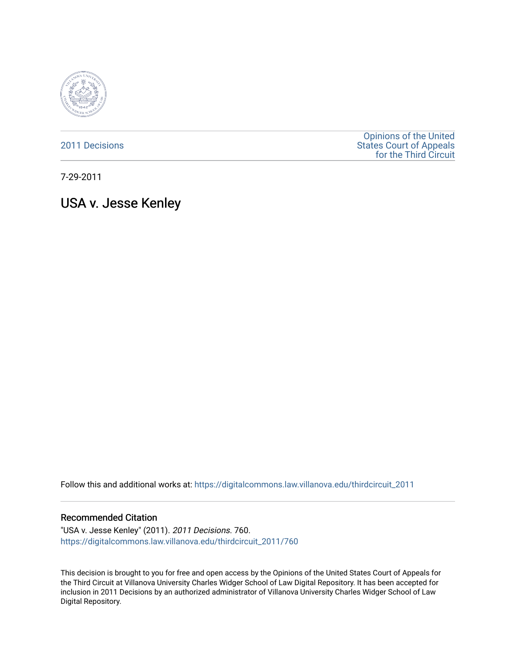

[2011 Decisions](https://digitalcommons.law.villanova.edu/thirdcircuit_2011)

[Opinions of the United](https://digitalcommons.law.villanova.edu/thirdcircuit)  [States Court of Appeals](https://digitalcommons.law.villanova.edu/thirdcircuit)  [for the Third Circuit](https://digitalcommons.law.villanova.edu/thirdcircuit) 

7-29-2011

USA v. Jesse Kenley

Follow this and additional works at: [https://digitalcommons.law.villanova.edu/thirdcircuit\\_2011](https://digitalcommons.law.villanova.edu/thirdcircuit_2011?utm_source=digitalcommons.law.villanova.edu%2Fthirdcircuit_2011%2F760&utm_medium=PDF&utm_campaign=PDFCoverPages) 

### Recommended Citation

"USA v. Jesse Kenley" (2011). 2011 Decisions. 760. [https://digitalcommons.law.villanova.edu/thirdcircuit\\_2011/760](https://digitalcommons.law.villanova.edu/thirdcircuit_2011/760?utm_source=digitalcommons.law.villanova.edu%2Fthirdcircuit_2011%2F760&utm_medium=PDF&utm_campaign=PDFCoverPages)

This decision is brought to you for free and open access by the Opinions of the United States Court of Appeals for the Third Circuit at Villanova University Charles Widger School of Law Digital Repository. It has been accepted for inclusion in 2011 Decisions by an authorized administrator of Villanova University Charles Widger School of Law Digital Repository.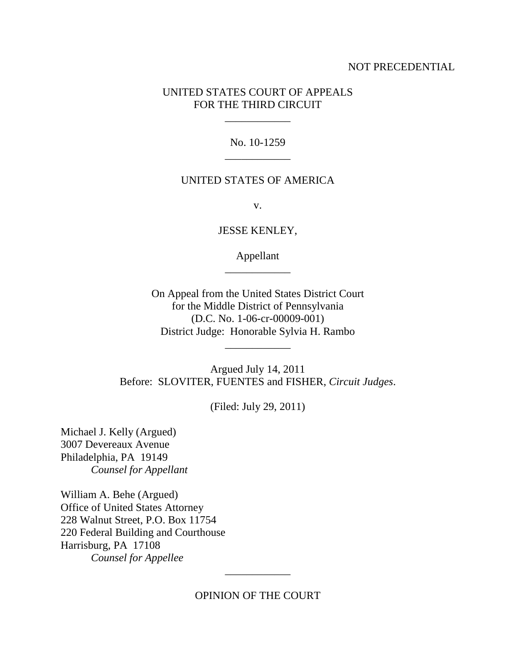## NOT PRECEDENTIAL

## UNITED STATES COURT OF APPEALS FOR THE THIRD CIRCUIT

\_\_\_\_\_\_\_\_\_\_\_\_

No. 10-1259 \_\_\_\_\_\_\_\_\_\_\_\_

### UNITED STATES OF AMERICA

v.

JESSE KENLEY,

Appellant \_\_\_\_\_\_\_\_\_\_\_\_

On Appeal from the United States District Court for the Middle District of Pennsylvania (D.C. No. 1-06-cr-00009-001) District Judge: Honorable Sylvia H. Rambo

\_\_\_\_\_\_\_\_\_\_\_\_

Argued July 14, 2011 Before: SLOVITER, FUENTES and FISHER, *Circuit Judges*.

(Filed: July 29, 2011)

Michael J. Kelly (Argued) 3007 Devereaux Avenue Philadelphia, PA 19149 *Counsel for Appellant*

William A. Behe (Argued) Office of United States Attorney 228 Walnut Street, P.O. Box 11754 220 Federal Building and Courthouse Harrisburg, PA 17108 *Counsel for Appellee*

# OPINION OF THE COURT

\_\_\_\_\_\_\_\_\_\_\_\_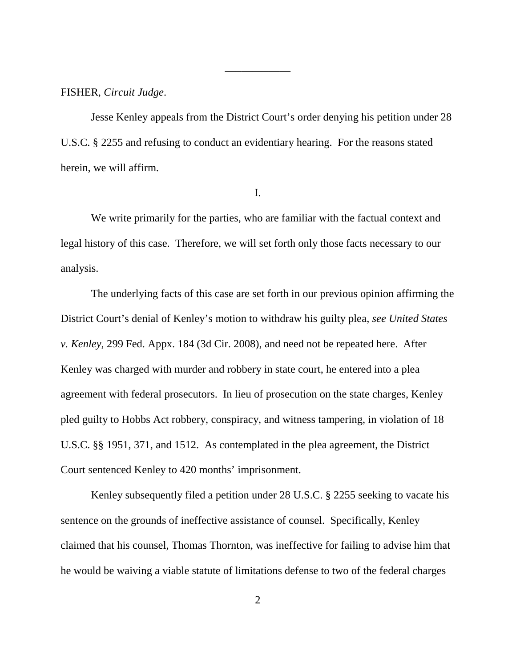FISHER, *Circuit Judge*.

Jesse Kenley appeals from the District Court's order denying his petition under 28 U.S.C. § 2255 and refusing to conduct an evidentiary hearing. For the reasons stated herein, we will affirm.

\_\_\_\_\_\_\_\_\_\_\_\_

I.

We write primarily for the parties, who are familiar with the factual context and legal history of this case. Therefore, we will set forth only those facts necessary to our analysis.

The underlying facts of this case are set forth in our previous opinion affirming the District Court's denial of Kenley's motion to withdraw his guilty plea, *see United States v. Kenley*, 299 Fed. Appx. 184 (3d Cir. 2008), and need not be repeated here. After Kenley was charged with murder and robbery in state court, he entered into a plea agreement with federal prosecutors. In lieu of prosecution on the state charges, Kenley pled guilty to Hobbs Act robbery, conspiracy, and witness tampering, in violation of 18 U.S.C. §§ 1951, 371, and 1512. As contemplated in the plea agreement, the District Court sentenced Kenley to 420 months' imprisonment.

Kenley subsequently filed a petition under 28 U.S.C. § 2255 seeking to vacate his sentence on the grounds of ineffective assistance of counsel. Specifically, Kenley claimed that his counsel, Thomas Thornton, was ineffective for failing to advise him that he would be waiving a viable statute of limitations defense to two of the federal charges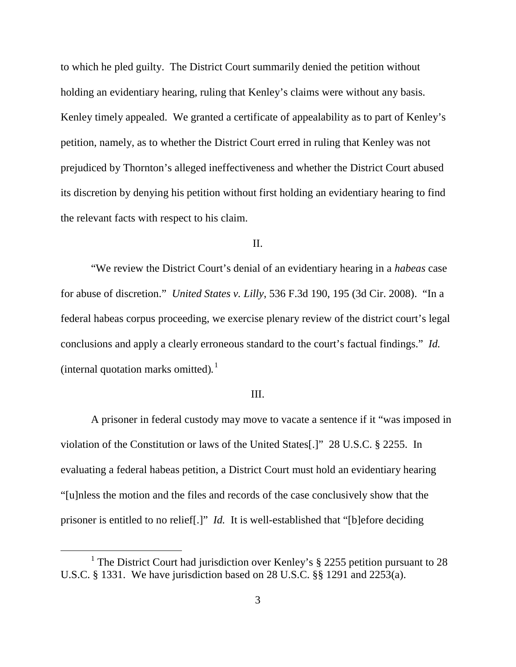to which he pled guilty. The District Court summarily denied the petition without holding an evidentiary hearing, ruling that Kenley's claims were without any basis. Kenley timely appealed. We granted a certificate of appealability as to part of Kenley's petition, namely, as to whether the District Court erred in ruling that Kenley was not prejudiced by Thornton's alleged ineffectiveness and whether the District Court abused its discretion by denying his petition without first holding an evidentiary hearing to find the relevant facts with respect to his claim.

### II.

"We review the District Court's denial of an evidentiary hearing in a *habeas* case for abuse of discretion." *United States v. Lilly*, 536 F.3d 190, 195 (3d Cir. 2008). "In a federal habeas corpus proceeding, we exercise plenary review of the district court's legal conclusions and apply a clearly erroneous standard to the court's factual findings." *Id.* (internal quotation marks omitted)*.* [1](#page-3-0)

### III.

A prisoner in federal custody may move to vacate a sentence if it "was imposed in violation of the Constitution or laws of the United States[.]" 28 U.S.C. § 2255. In evaluating a federal habeas petition, a District Court must hold an evidentiary hearing "[u]nless the motion and the files and records of the case conclusively show that the prisoner is entitled to no relief[.]" *Id.* It is well-established that "[b]efore deciding

<span id="page-3-0"></span><sup>&</sup>lt;sup>1</sup> The District Court had jurisdiction over Kenley's  $\S$  2255 petition pursuant to 28 U.S.C. § 1331. We have jurisdiction based on 28 U.S.C. §§ 1291 and 2253(a).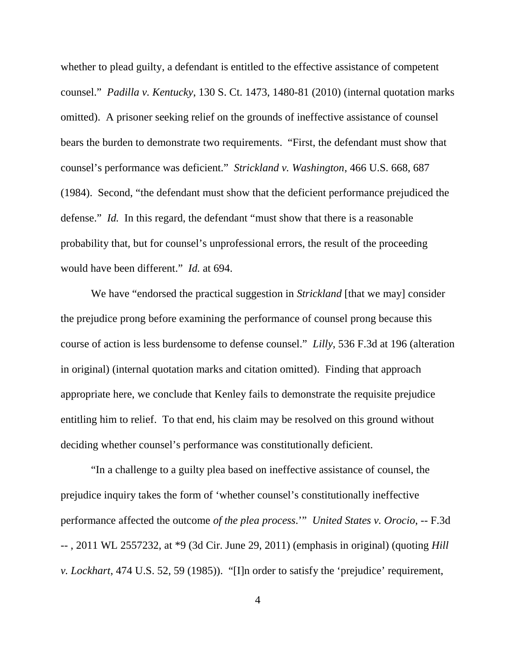whether to plead guilty, a defendant is entitled to the effective assistance of competent counsel." *Padilla v. Kentucky*, 130 S. Ct. 1473, 1480-81 (2010) (internal quotation marks omitted). A prisoner seeking relief on the grounds of ineffective assistance of counsel bears the burden to demonstrate two requirements. "First, the defendant must show that counsel's performance was deficient." *Strickland v. Washington*, 466 U.S. 668, 687 (1984). Second, "the defendant must show that the deficient performance prejudiced the defense." *Id.* In this regard, the defendant "must show that there is a reasonable probability that, but for counsel's unprofessional errors, the result of the proceeding would have been different." *Id.* at 694.

We have "endorsed the practical suggestion in *Strickland* [that we may] consider the prejudice prong before examining the performance of counsel prong because this course of action is less burdensome to defense counsel." *Lilly*, 536 F.3d at 196 (alteration in original) (internal quotation marks and citation omitted). Finding that approach appropriate here, we conclude that Kenley fails to demonstrate the requisite prejudice entitling him to relief. To that end, his claim may be resolved on this ground without deciding whether counsel's performance was constitutionally deficient.

"In a challenge to a guilty plea based on ineffective assistance of counsel, the prejudice inquiry takes the form of 'whether counsel's constitutionally ineffective performance affected the outcome *of the plea process*.'" *United States v. Orocio*, -- F.3d -- , 2011 WL 2557232, at \*9 (3d Cir. June 29, 2011) (emphasis in original) (quoting *Hill v. Lockhart*, 474 U.S. 52, 59 (1985)). "[I]n order to satisfy the 'prejudice' requirement,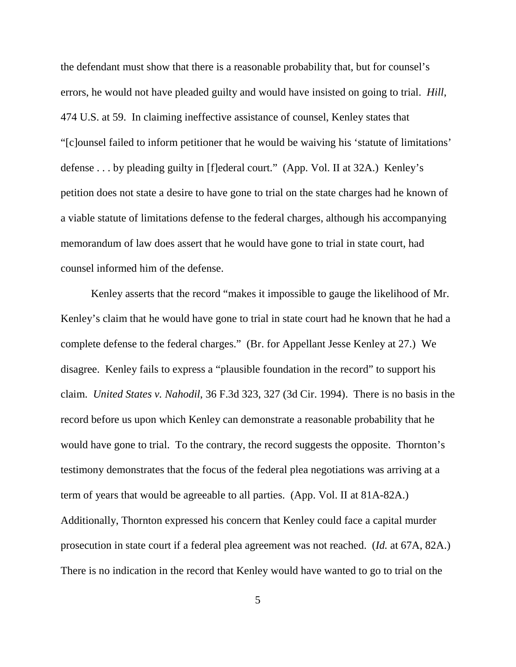the defendant must show that there is a reasonable probability that, but for counsel's errors, he would not have pleaded guilty and would have insisted on going to trial. *Hill*, 474 U.S. at 59. In claiming ineffective assistance of counsel, Kenley states that "[c]ounsel failed to inform petitioner that he would be waiving his 'statute of limitations' defense . . . by pleading guilty in [f]ederal court." (App. Vol. II at 32A.) Kenley's petition does not state a desire to have gone to trial on the state charges had he known of a viable statute of limitations defense to the federal charges, although his accompanying memorandum of law does assert that he would have gone to trial in state court, had counsel informed him of the defense.

Kenley asserts that the record "makes it impossible to gauge the likelihood of Mr. Kenley's claim that he would have gone to trial in state court had he known that he had a complete defense to the federal charges." (Br. for Appellant Jesse Kenley at 27.) We disagree. Kenley fails to express a "plausible foundation in the record" to support his claim. *United States v. Nahodil*, 36 F.3d 323, 327 (3d Cir. 1994). There is no basis in the record before us upon which Kenley can demonstrate a reasonable probability that he would have gone to trial. To the contrary, the record suggests the opposite. Thornton's testimony demonstrates that the focus of the federal plea negotiations was arriving at a term of years that would be agreeable to all parties. (App. Vol. II at 81A-82A.) Additionally, Thornton expressed his concern that Kenley could face a capital murder prosecution in state court if a federal plea agreement was not reached. (*Id.* at 67A, 82A.) There is no indication in the record that Kenley would have wanted to go to trial on the